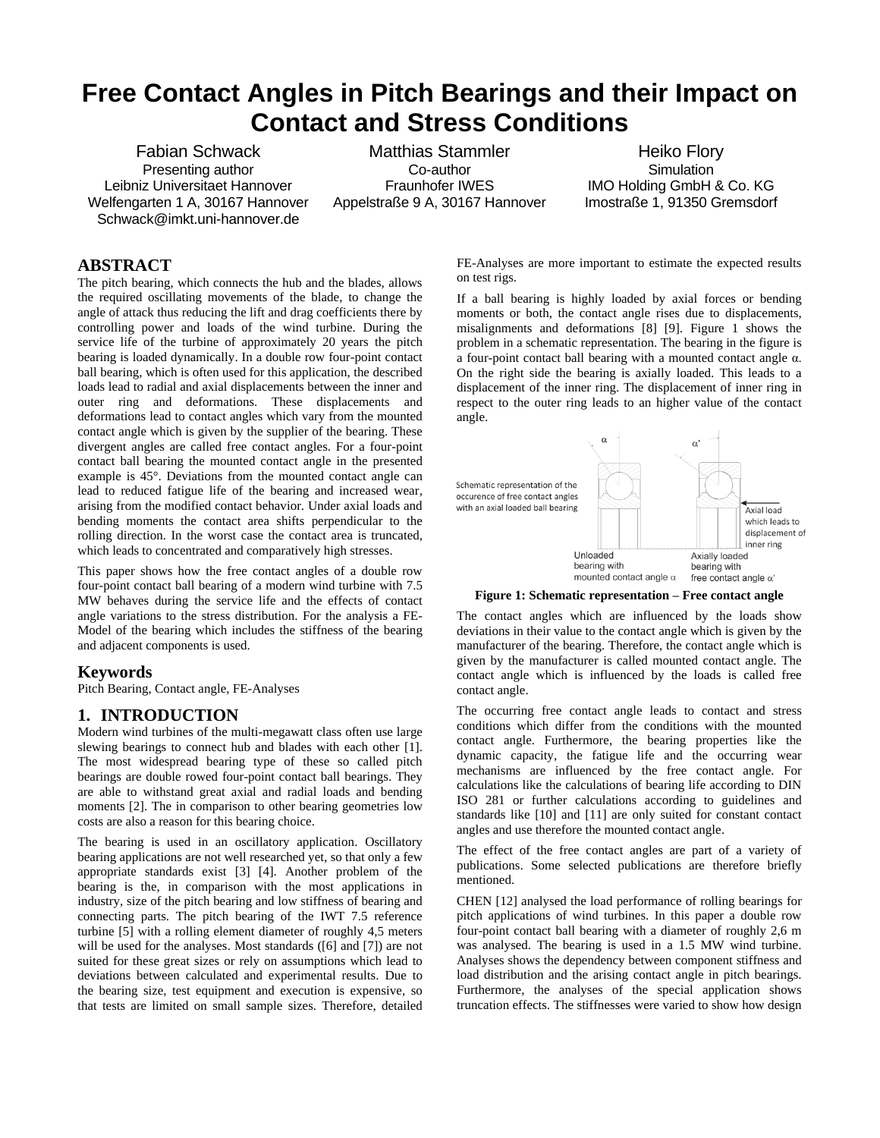# **Free Contact Angles in Pitch Bearings and their Impact on Contact and Stress Conditions**

Fabian Schwack Presenting author Leibniz Universitaet Hannover Welfengarten 1 A, 30167 Hannover Schwack@imkt.uni-hannover.de

Matthias Stammler Co-author Fraunhofer IWES Appelstraße 9 A, 30167 Hannover

Heiko Flory **Simulation** IMO Holding GmbH & Co. KG Imostraße 1, 91350 Gremsdorf

# **ABSTRACT**

The pitch bearing, which connects the hub and the blades, allows the required oscillating movements of the blade, to change the angle of attack thus reducing the lift and drag coefficients there by controlling power and loads of the wind turbine. During the service life of the turbine of approximately 20 years the pitch bearing is loaded dynamically. In a double row four-point contact ball bearing, which is often used for this application, the described loads lead to radial and axial displacements between the inner and outer ring and deformations. These displacements and deformations lead to contact angles which vary from the mounted contact angle which is given by the supplier of the bearing. These divergent angles are called free contact angles. For a four-point contact ball bearing the mounted contact angle in the presented example is 45°. Deviations from the mounted contact angle can lead to reduced fatigue life of the bearing and increased wear, arising from the modified contact behavior. Under axial loads and bending moments the contact area shifts perpendicular to the rolling direction. In the worst case the contact area is truncated, which leads to concentrated and comparatively high stresses.

This paper shows how the free contact angles of a double row four-point contact ball bearing of a modern wind turbine with 7.5 MW behaves during the service life and the effects of contact angle variations to the stress distribution. For the analysis a FE-Model of the bearing which includes the stiffness of the bearing and adjacent components is used.

# **Keywords**

Pitch Bearing, Contact angle, FE-Analyses

# **1. INTRODUCTION**

Modern wind turbines of the multi-megawatt class often use large slewing bearings to connect hub and blades with each other [1]. The most widespread bearing type of these so called pitch bearings are double rowed four-point contact ball bearings. They are able to withstand great axial and radial loads and bending moments [2]. The in comparison to other bearing geometries low costs are also a reason for this bearing choice.

The bearing is used in an oscillatory application. Oscillatory bearing applications are not well researched yet, so that only a few appropriate standards exist [3] [4]. Another problem of the bearing is the, in comparison with the most applications in industry, size of the pitch bearing and low stiffness of bearing and connecting parts. The pitch bearing of the IWT 7.5 reference turbine [5] with a rolling element diameter of roughly 4,5 meters will be used for the analyses. Most standards ([6] and [7]) are not suited for these great sizes or rely on assumptions which lead to deviations between calculated and experimental results. Due to the bearing size, test equipment and execution is expensive, so that tests are limited on small sample sizes. Therefore, detailed

FE-Analyses are more important to estimate the expected results on test rigs.

If a ball bearing is highly loaded by axial forces or bending moments or both, the contact angle rises due to displacements, misalignments and deformations [8] [9]. Figure 1 shows the problem in a schematic representation. The bearing in the figure is a four-point contact ball bearing with a mounted contact angle α. On the right side the bearing is axially loaded. This leads to a displacement of the inner ring. The displacement of inner ring in respect to the outer ring leads to an higher value of the contact angle.



**Figure 1: Schematic representation – Free contact angle**

The contact angles which are influenced by the loads show deviations in their value to the contact angle which is given by the manufacturer of the bearing. Therefore, the contact angle which is given by the manufacturer is called mounted contact angle. The contact angle which is influenced by the loads is called free contact angle.

The occurring free contact angle leads to contact and stress conditions which differ from the conditions with the mounted contact angle. Furthermore, the bearing properties like the dynamic capacity, the fatigue life and the occurring wear mechanisms are influenced by the free contact angle. For calculations like the calculations of bearing life according to DIN ISO 281 or further calculations according to guidelines and standards like [10] and [11] are only suited for constant contact angles and use therefore the mounted contact angle.

The effect of the free contact angles are part of a variety of publications. Some selected publications are therefore briefly mentioned.

CHEN [12] analysed the load performance of rolling bearings for pitch applications of wind turbines. In this paper a double row four-point contact ball bearing with a diameter of roughly 2,6 m was analysed. The bearing is used in a 1.5 MW wind turbine. Analyses shows the dependency between component stiffness and load distribution and the arising contact angle in pitch bearings. Furthermore, the analyses of the special application shows truncation effects. The stiffnesses were varied to show how design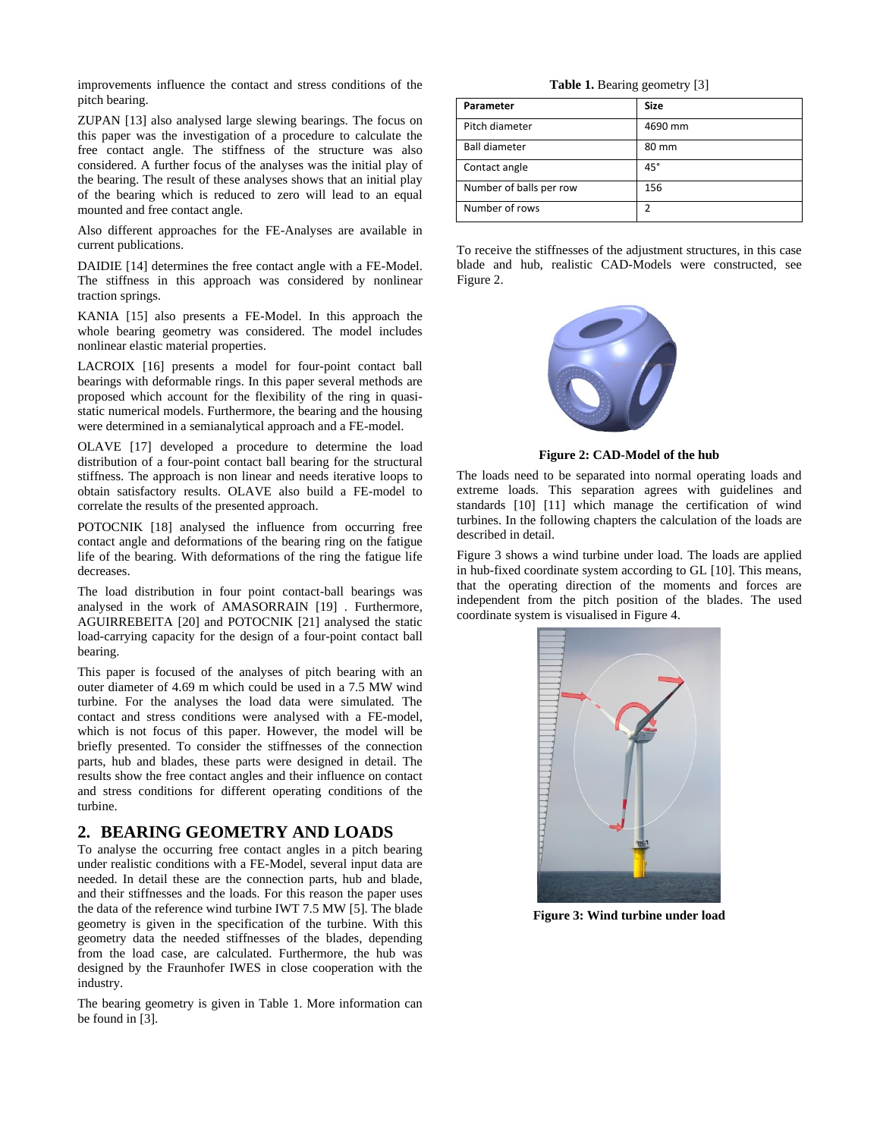improvements influence the contact and stress conditions of the pitch bearing.

ZUPAN [13] also analysed large slewing bearings. The focus on this paper was the investigation of a procedure to calculate the free contact angle. The stiffness of the structure was also considered. A further focus of the analyses was the initial play of the bearing. The result of these analyses shows that an initial play of the bearing which is reduced to zero will lead to an equal mounted and free contact angle.

Also different approaches for the FE-Analyses are available in current publications.

DAIDIE [14] determines the free contact angle with a FE-Model. The stiffness in this approach was considered by nonlinear traction springs.

KANIA [15] also presents a FE-Model. In this approach the whole bearing geometry was considered. The model includes nonlinear elastic material properties.

LACROIX [16] presents a model for four-point contact ball bearings with deformable rings. In this paper several methods are proposed which account for the flexibility of the ring in quasistatic numerical models. Furthermore, the bearing and the housing were determined in a semianalytical approach and a FE-model.

OLAVE [17] developed a procedure to determine the load distribution of a four-point contact ball bearing for the structural stiffness. The approach is non linear and needs iterative loops to obtain satisfactory results. OLAVE also build a FE-model to correlate the results of the presented approach.

POTOCNIK [18] analysed the influence from occurring free contact angle and deformations of the bearing ring on the fatigue life of the bearing. With deformations of the ring the fatigue life decreases.

The load distribution in four point contact-ball bearings was analysed in the work of AMASORRAIN [19] . Furthermore, AGUIRREBEITA [20] and POTOCNIK [21] analysed the static load-carrying capacity for the design of a four-point contact ball bearing.

This paper is focused of the analyses of pitch bearing with an outer diameter of 4.69 m which could be used in a 7.5 MW wind turbine. For the analyses the load data were simulated. The contact and stress conditions were analysed with a FE-model, which is not focus of this paper. However, the model will be briefly presented. To consider the stiffnesses of the connection parts, hub and blades, these parts were designed in detail. The results show the free contact angles and their influence on contact and stress conditions for different operating conditions of the turbine.

#### **2. BEARING GEOMETRY AND LOADS**

To analyse the occurring free contact angles in a pitch bearing under realistic conditions with a FE-Model, several input data are needed. In detail these are the connection parts, hub and blade, and their stiffnesses and the loads. For this reason the paper uses the data of the reference wind turbine IWT 7.5 MW [5]. The blade geometry is given in the specification of the turbine. With this geometry data the needed stiffnesses of the blades, depending from the load case, are calculated. Furthermore, the hub was designed by the Fraunhofer IWES in close cooperation with the industry.

The bearing geometry is given in Table 1. More information can be found in [3].

**Table 1.** Bearing geometry [3]

| Parameter               | <b>Size</b>  |  |
|-------------------------|--------------|--|
| Pitch diameter          | 4690 mm      |  |
| <b>Ball diameter</b>    | 80 mm        |  |
| Contact angle           | $45^{\circ}$ |  |
| Number of balls per row | 156          |  |
| Number of rows          | 2            |  |

To receive the stiffnesses of the adjustment structures, in this case blade and hub, realistic CAD-Models were constructed, see Figure 2.



**Figure 2: CAD-Model of the hub**

The loads need to be separated into normal operating loads and extreme loads. This separation agrees with guidelines and standards [10] [11] which manage the certification of wind turbines. In the following chapters the calculation of the loads are described in detail.

Figure 3 shows a wind turbine under load. The loads are applied in hub-fixed coordinate system according to GL [10]. This means, that the operating direction of the moments and forces are independent from the pitch position of the blades. The used coordinate system is visualised in Figure 4.



**Figure 3: Wind turbine under load**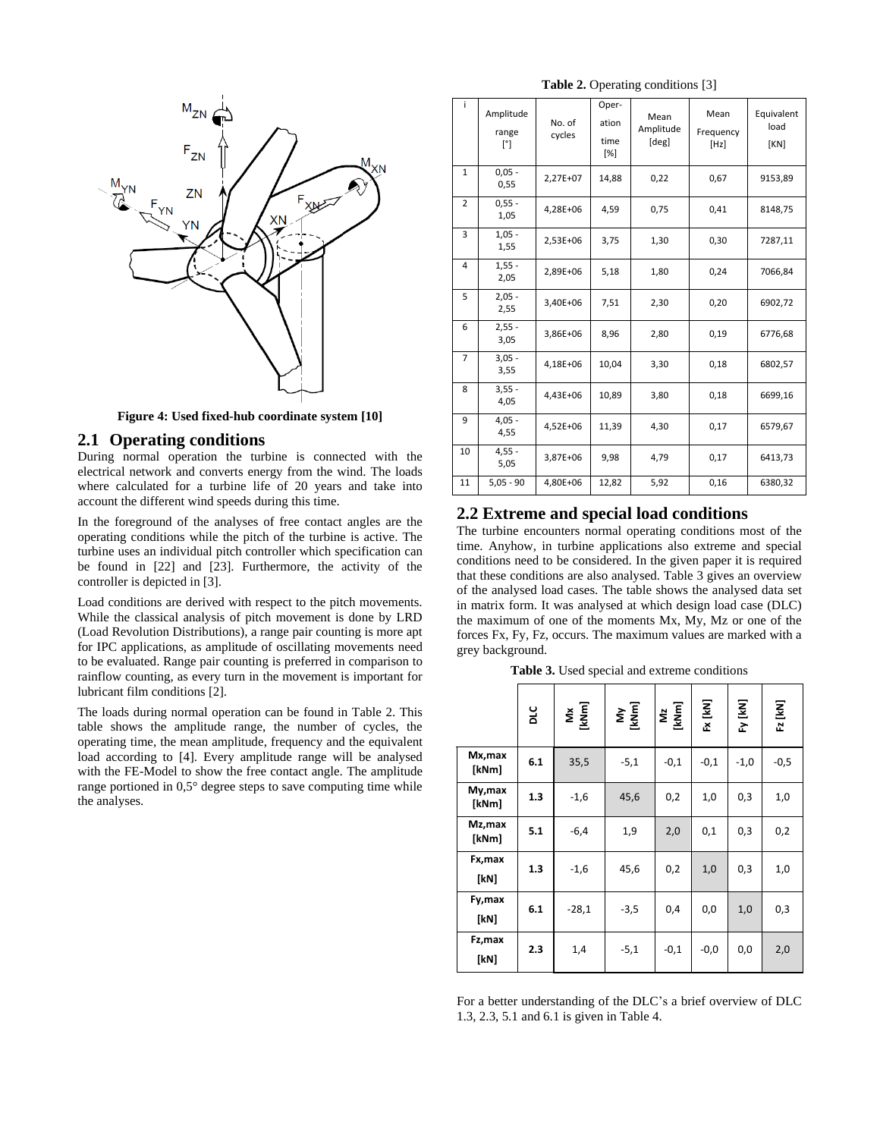

**Figure 4: Used fixed-hub coordinate system [10]**

#### **2.1 Operating conditions**

During normal operation the turbine is connected with the electrical network and converts energy from the wind. The loads where calculated for a turbine life of 20 years and take into account the different wind speeds during this time.

In the foreground of the analyses of free contact angles are the operating conditions while the pitch of the turbine is active. The turbine uses an individual pitch controller which specification can be found in [22] and [23]. Furthermore, the activity of the controller is depicted in [3].

Load conditions are derived with respect to the pitch movements. While the classical analysis of pitch movement is done by LRD (Load Revolution Distributions), a range pair counting is more apt for IPC applications, as amplitude of oscillating movements need to be evaluated. Range pair counting is preferred in comparison to rainflow counting, as every turn in the movement is important for lubricant film conditions [2].

The loads during normal operation can be found in Table 2. This table shows the amplitude range, the number of cycles, the operating time, the mean amplitude, frequency and the equivalent load according to [4]. Every amplitude range will be analysed with the FE-Model to show the free contact angle. The amplitude range portioned in 0,5° degree steps to save computing time while the analyses.

**Table 2.** Operating conditions [3]

| i.             | Amplitude<br>range<br>[°] | No. of<br>cycles | Oper-<br>ation<br>time<br>[%] | Mean<br>Amplitude<br>[deg] | Mean<br>Frequency<br>[Hz] | Equivalent<br>load<br>[KN] |
|----------------|---------------------------|------------------|-------------------------------|----------------------------|---------------------------|----------------------------|
| $\mathbf{1}$   | $0,05 -$<br>0,55          | 2,27E+07         | 14,88                         | 0,22                       | 0,67                      | 9153,89                    |
| $\overline{2}$ | $0,55 -$<br>1,05          | 4,28E+06         | 4,59                          | 0,75                       | 0,41                      | 8148,75                    |
| $\overline{3}$ | $1,05 -$<br>1,55          | 2,53E+06         | 3,75                          | 1,30                       | 0,30                      | 7287,11                    |
| $\overline{4}$ | $1,55 -$<br>2,05          | 2,89E+06         | 5,18                          | 1,80                       | 0,24                      | 7066,84                    |
| 5              | $2,05 -$<br>2,55          | 3,40E+06         | 7,51                          | 2,30                       | 0,20                      | 6902,72                    |
| 6              | $2,55 -$<br>3,05          | 3,86E+06         | 8,96                          | 2,80                       | 0,19                      | 6776,68                    |
| $\overline{7}$ | $3,05 -$<br>3,55          | 4,18E+06         | 10,04                         | 3,30                       | 0,18                      | 6802,57                    |
| 8              | $3,55 -$<br>4,05          | 4,43E+06         | 10,89                         | 3,80                       | 0,18                      | 6699,16                    |
| 9              | $4,05 -$<br>4,55          | 4,52E+06         | 11,39                         | 4,30                       | 0,17                      | 6579,67                    |
| 10             | $4,55 -$<br>5,05          | 3,87E+06         | 9,98                          | 4,79                       | 0,17                      | 6413,73                    |
| 11             | $5,05 - 90$               | 4,80E+06         | 12,82                         | 5,92                       | 0,16                      | 6380,32                    |

# **2.2 Extreme and special load conditions**

The turbine encounters normal operating conditions most of the time. Anyhow, in turbine applications also extreme and special conditions need to be considered. In the given paper it is required that these conditions are also analysed. Table 3 gives an overview of the analysed load cases. The table shows the analysed data set in matrix form. It was analysed at which design load case (DLC) the maximum of one of the moments Mx, My, Mz or one of the forces Fx, Fy, Fz, occurs. The maximum values are marked with a grey background.

**Table 3.** Used special and extreme conditions

|                  | prc | Mx<br>[kNm] | My<br>[kNm] | Mz<br>[kNm] | Fx [kN] | Fy [kN] | Fz [kN] |
|------------------|-----|-------------|-------------|-------------|---------|---------|---------|
| Mx,max<br>[kNm]  | 6.1 | 35,5        | $-5,1$      | $-0,1$      | $-0,1$  | $-1,0$  | $-0,5$  |
| My, max<br>[kNm] | 1.3 | $-1,6$      | 45,6        | 0,2         | 1,0     | 0,3     | 1,0     |
| Mz,max<br>[kNm]  | 5.1 | $-6,4$      | 1,9         | 2,0         | 0,1     | 0,3     | 0,2     |
| Fx, max<br>[kN]  | 1.3 | $-1,6$      | 45,6        | 0,2         | 1,0     | 0,3     | 1,0     |
| Fy,max<br>[kN]   | 6.1 | $-28,1$     | $-3,5$      | 0,4         | 0,0     | 1,0     | 0,3     |
| Fz,max<br>[kN]   | 2.3 | 1,4         | $-5,1$      | $-0,1$      | $-0,0$  | 0,0     | 2,0     |

For a better understanding of the DLC's a brief overview of DLC 1.3, 2.3, 5.1 and 6.1 is given in Table 4.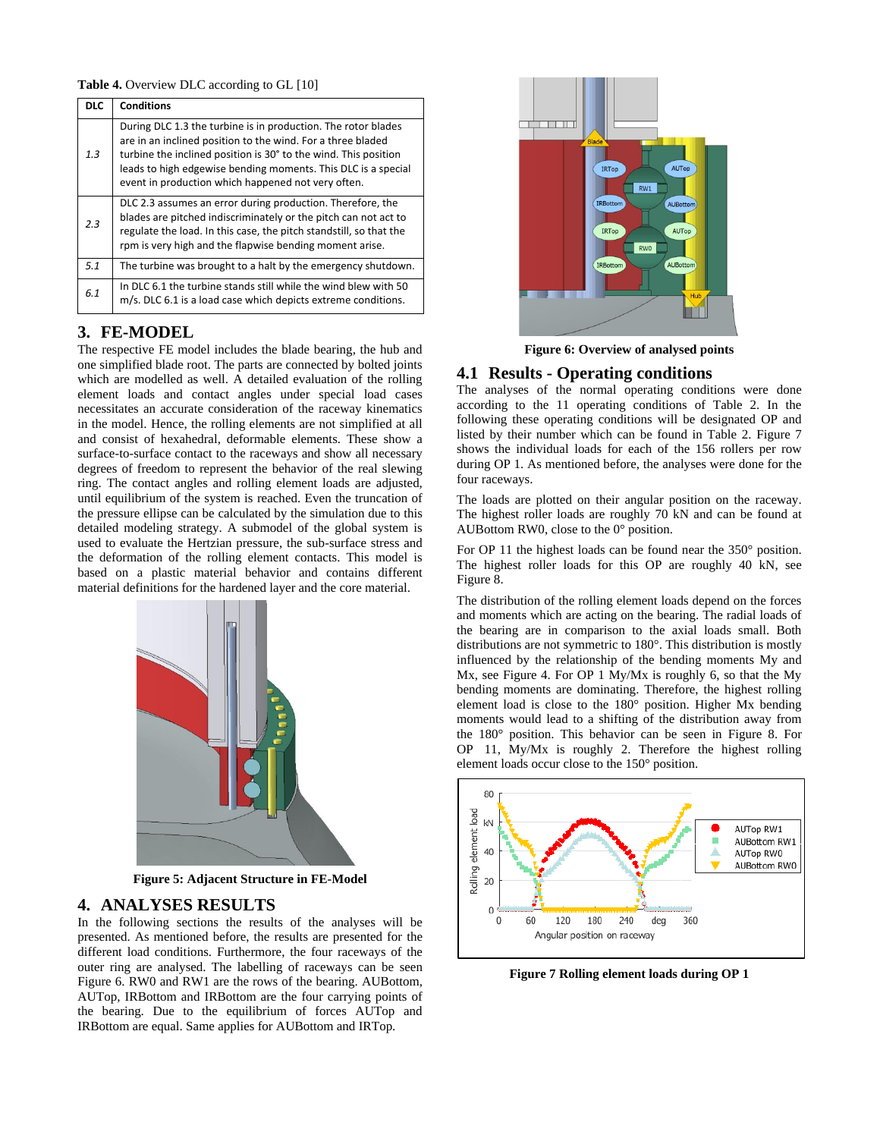Table 4. Overview DLC according to GL [10]

| <b>DLC</b> | <b>Conditions</b>                                                                                                                                                                                                                                                                                                      |
|------------|------------------------------------------------------------------------------------------------------------------------------------------------------------------------------------------------------------------------------------------------------------------------------------------------------------------------|
| 1.3        | During DLC 1.3 the turbine is in production. The rotor blades<br>are in an inclined position to the wind. For a three bladed<br>turbine the inclined position is 30° to the wind. This position<br>leads to high edgewise bending moments. This DLC is a special<br>event in production which happened not very often. |
| 2.3        | DLC 2.3 assumes an error during production. Therefore, the<br>blades are pitched indiscriminately or the pitch can not act to<br>regulate the load. In this case, the pitch standstill, so that the<br>rpm is very high and the flapwise bending moment arise.                                                         |
| 5.1        | The turbine was brought to a halt by the emergency shutdown.                                                                                                                                                                                                                                                           |
| 6.1        | In DLC 6.1 the turbine stands still while the wind blew with 50<br>m/s. DLC 6.1 is a load case which depicts extreme conditions.                                                                                                                                                                                       |

# **3. FE-MODEL**

The respective FE model includes the blade bearing, the hub and one simplified blade root. The parts are connected by bolted joints which are modelled as well. A detailed evaluation of the rolling element loads and contact angles under special load cases necessitates an accurate consideration of the raceway kinematics in the model. Hence, the rolling elements are not simplified at all and consist of hexahedral, deformable elements. These show a surface-to-surface contact to the raceways and show all necessary degrees of freedom to represent the behavior of the real slewing ring. The contact angles and rolling element loads are adjusted, until equilibrium of the system is reached. Even the truncation of the pressure ellipse can be calculated by the simulation due to this detailed modeling strategy. A submodel of the global system is used to evaluate the Hertzian pressure, the sub-surface stress and the deformation of the rolling element contacts. This model is based on a plastic material behavior and contains different material definitions for the hardened layer and the core material.



**Figure 5: Adjacent Structure in FE-Model**

# **4. ANALYSES RESULTS**

In the following sections the results of the analyses will be presented. As mentioned before, the results are presented for the different load conditions. Furthermore, the four raceways of the outer ring are analysed. The labelling of raceways can be seen Figure 6. RW0 and RW1 are the rows of the bearing. AUBottom, AUTop, IRBottom and IRBottom are the four carrying points of the bearing. Due to the equilibrium of forces AUTop and IRBottom are equal. Same applies for AUBottom and IRTop.



**Figure 6: Overview of analysed points**

# **4.1 Results - Operating conditions**

The analyses of the normal operating conditions were done according to the 11 operating conditions of Table 2. In the following these operating conditions will be designated OP and listed by their number which can be found in Table 2. Figure 7 shows the individual loads for each of the 156 rollers per row during OP 1. As mentioned before, the analyses were done for the four raceways.

The loads are plotted on their angular position on the raceway. The highest roller loads are roughly 70 kN and can be found at AUBottom RW0, close to the 0° position.

For OP 11 the highest loads can be found near the 350° position. The highest roller loads for this OP are roughly 40 kN, see Figure 8.

The distribution of the rolling element loads depend on the forces and moments which are acting on the bearing. The radial loads of the bearing are in comparison to the axial loads small. Both distributions are not symmetric to 180°. This distribution is mostly influenced by the relationship of the bending moments My and Mx, see Figure 4. For OP 1 My/Mx is roughly 6, so that the My bending moments are dominating. Therefore, the highest rolling element load is close to the 180° position. Higher Mx bending moments would lead to a shifting of the distribution away from the 180° position. This behavior can be seen in Figure 8. For OP 11, My/Mx is roughly 2. Therefore the highest rolling element loads occur close to the 150° position.



**Figure 7 Rolling element loads during OP 1**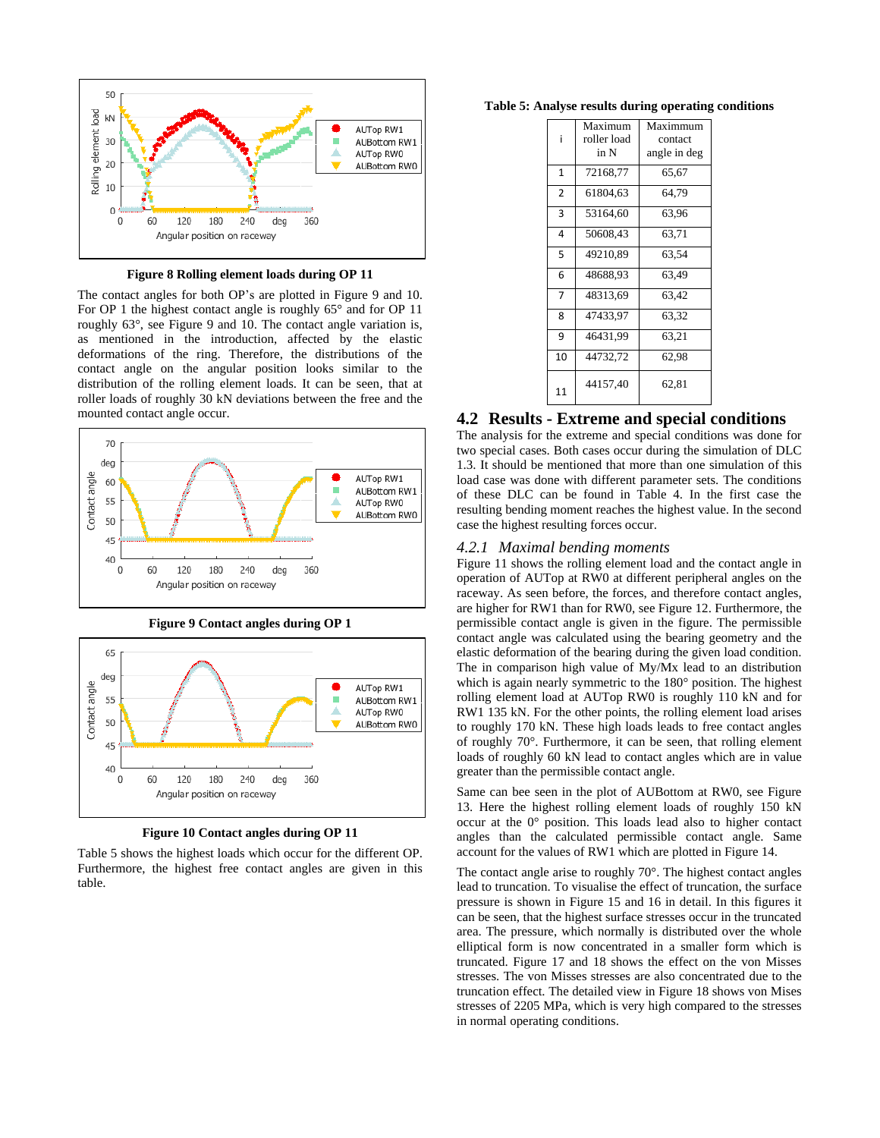

**Figure 8 Rolling element loads during OP 11**

The contact angles for both OP's are plotted in Figure 9 and 10. For OP 1 the highest contact angle is roughly 65° and for OP 11 roughly 63°, see Figure 9 and 10. The contact angle variation is, as mentioned in the introduction, affected by the elastic deformations of the ring. Therefore, the distributions of the contact angle on the angular position looks similar to the distribution of the rolling element loads. It can be seen, that at roller loads of roughly 30 kN deviations between the free and the mounted contact angle occur.



**Figure 9 Contact angles during OP 1**



**Figure 10 Contact angles during OP 11**

Table 5 shows the highest loads which occur for the different OP. Furthermore, the highest free contact angles are given in this table.

**Table 5: Analyse results during operating conditions**

| i              | Maximum<br>roller load<br>in N | Maximmum<br>contact<br>angle in deg |
|----------------|--------------------------------|-------------------------------------|
| $\mathbf{1}$   | 72168,77                       | 65,67                               |
| $\overline{2}$ | 61804,63                       | 64,79                               |
| 3              | 53164,60                       | 63,96                               |
| 4              | 50608,43                       | 63,71                               |
| 5              | 49210.89                       | 63.54                               |
| 6              | 48688,93                       | 63,49                               |
| $\overline{7}$ | 48313,69                       | 63,42                               |
| 8              | 47433.97                       | 63,32                               |
| 9              | 46431.99                       | 63.21                               |
| 10             | 44732,72                       | 62,98                               |
| 11             | 44157,40                       | 62,81                               |

#### **4.2 Results - Extreme and special conditions**

The analysis for the extreme and special conditions was done for two special cases. Both cases occur during the simulation of DLC 1.3. It should be mentioned that more than one simulation of this load case was done with different parameter sets. The conditions of these DLC can be found in Table 4. In the first case the resulting bending moment reaches the highest value. In the second case the highest resulting forces occur.

#### *4.2.1 Maximal bending moments*

Figure 11 shows the rolling element load and the contact angle in operation of AUTop at RW0 at different peripheral angles on the raceway. As seen before, the forces, and therefore contact angles, are higher for RW1 than for RW0, see Figure 12. Furthermore, the permissible contact angle is given in the figure. The permissible contact angle was calculated using the bearing geometry and the elastic deformation of the bearing during the given load condition. The in comparison high value of My/Mx lead to an distribution which is again nearly symmetric to the 180° position. The highest rolling element load at AUTop RW0 is roughly 110 kN and for RW1 135 kN. For the other points, the rolling element load arises to roughly 170 kN. These high loads leads to free contact angles of roughly 70°. Furthermore, it can be seen, that rolling element loads of roughly 60 kN lead to contact angles which are in value greater than the permissible contact angle.

Same can bee seen in the plot of AUBottom at RW0, see Figure 13. Here the highest rolling element loads of roughly 150 kN occur at the 0° position. This loads lead also to higher contact angles than the calculated permissible contact angle. Same account for the values of RW1 which are plotted in Figure 14.

The contact angle arise to roughly 70°. The highest contact angles lead to truncation. To visualise the effect of truncation, the surface pressure is shown in Figure 15 and 16 in detail. In this figures it can be seen, that the highest surface stresses occur in the truncated area. The pressure, which normally is distributed over the whole elliptical form is now concentrated in a smaller form which is truncated. Figure 17 and 18 shows the effect on the von Misses stresses. The von Misses stresses are also concentrated due to the truncation effect. The detailed view in Figure 18 shows von Mises stresses of 2205 MPa, which is very high compared to the stresses in normal operating conditions.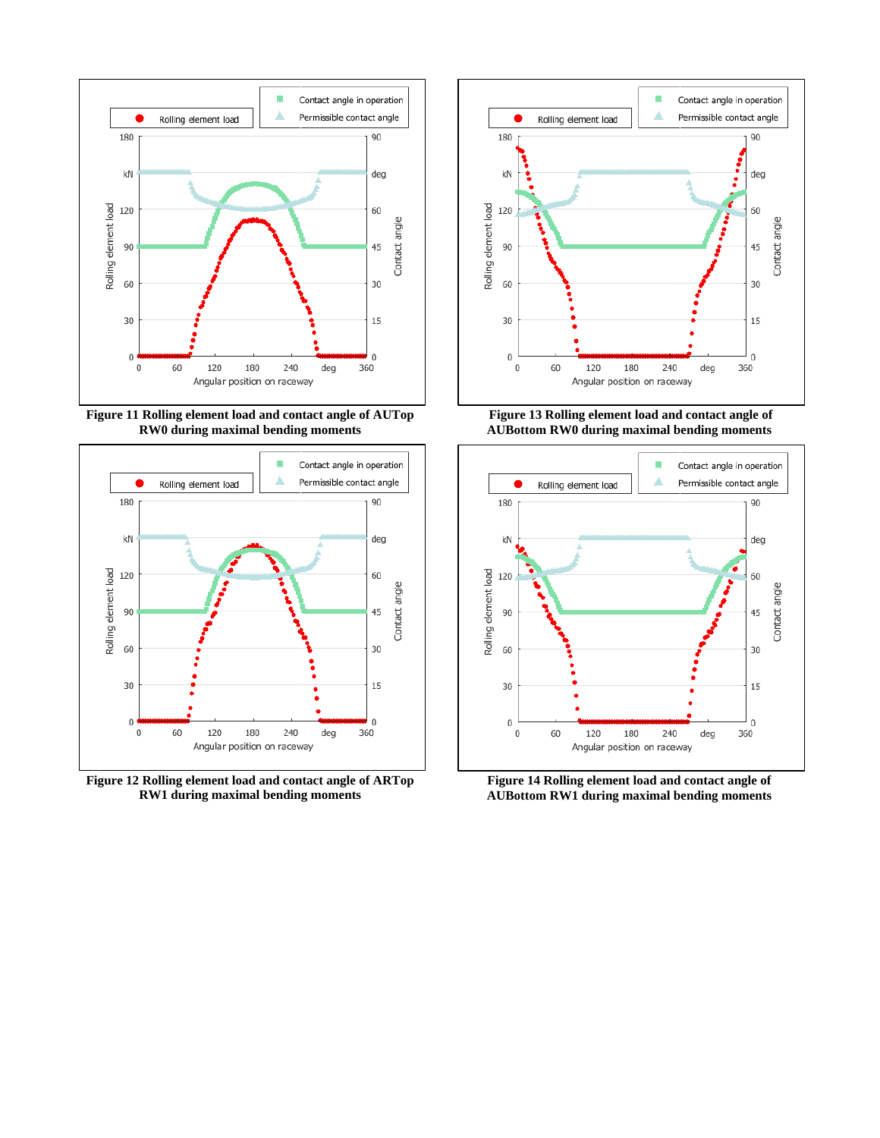

**Figure 11 Rolling element load and contact angle of AUTop RW0 during maximal bending moments**



**Figure 12 Rolling element load and contact angle of ARTop RW1 during maximal bending moments**



**Figure 13 Rolling element load and contact angle of AUBottom RW0 during maximal bending moments**



**Figure 14 Rolling element load and contact angle of AUBottom RW1 during maximal bending moments**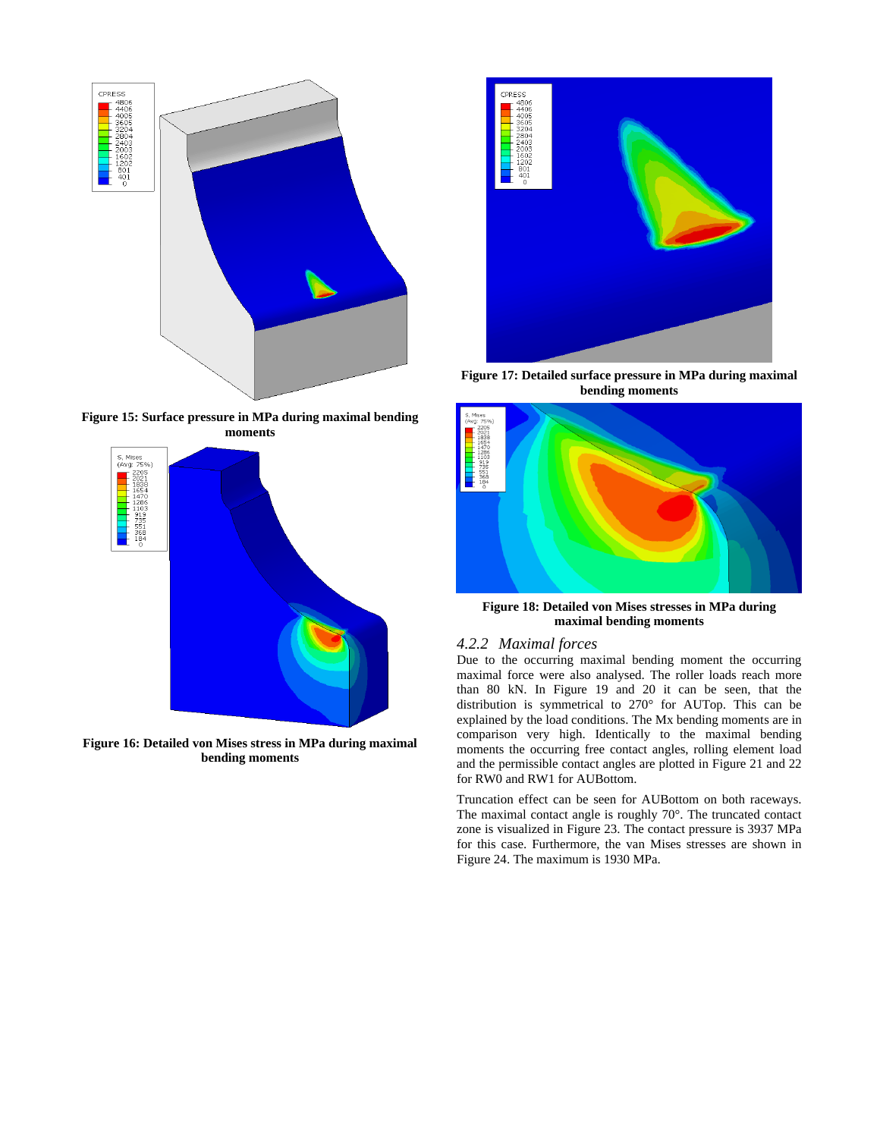

**Figure 15: Surface pressure in MPa during maximal bending moments**



**Figure 16: Detailed von Mises stress in MPa during maximal bending moments**



**Figure 17: Detailed surface pressure in MPa during maximal bending moments**



**Figure 18: Detailed von Mises stresses in MPa during maximal bending moments**

## *4.2.2 Maximal forces*

Due to the occurring maximal bending moment the occurring maximal force were also analysed. The roller loads reach more than 80 kN. In Figure 19 and 20 it can be seen, that the distribution is symmetrical to 270° for AUTop. This can be explained by the load conditions. The Mx bending moments are in comparison very high. Identically to the maximal bending moments the occurring free contact angles, rolling element load and the permissible contact angles are plotted in Figure 21 and 22 for RW0 and RW1 for AUBottom.

Truncation effect can be seen for AUBottom on both raceways. The maximal contact angle is roughly 70°. The truncated contact zone is visualized in Figure 23. The contact pressure is 3937 MPa for this case. Furthermore, the van Mises stresses are shown in Figure 24. The maximum is 1930 MPa.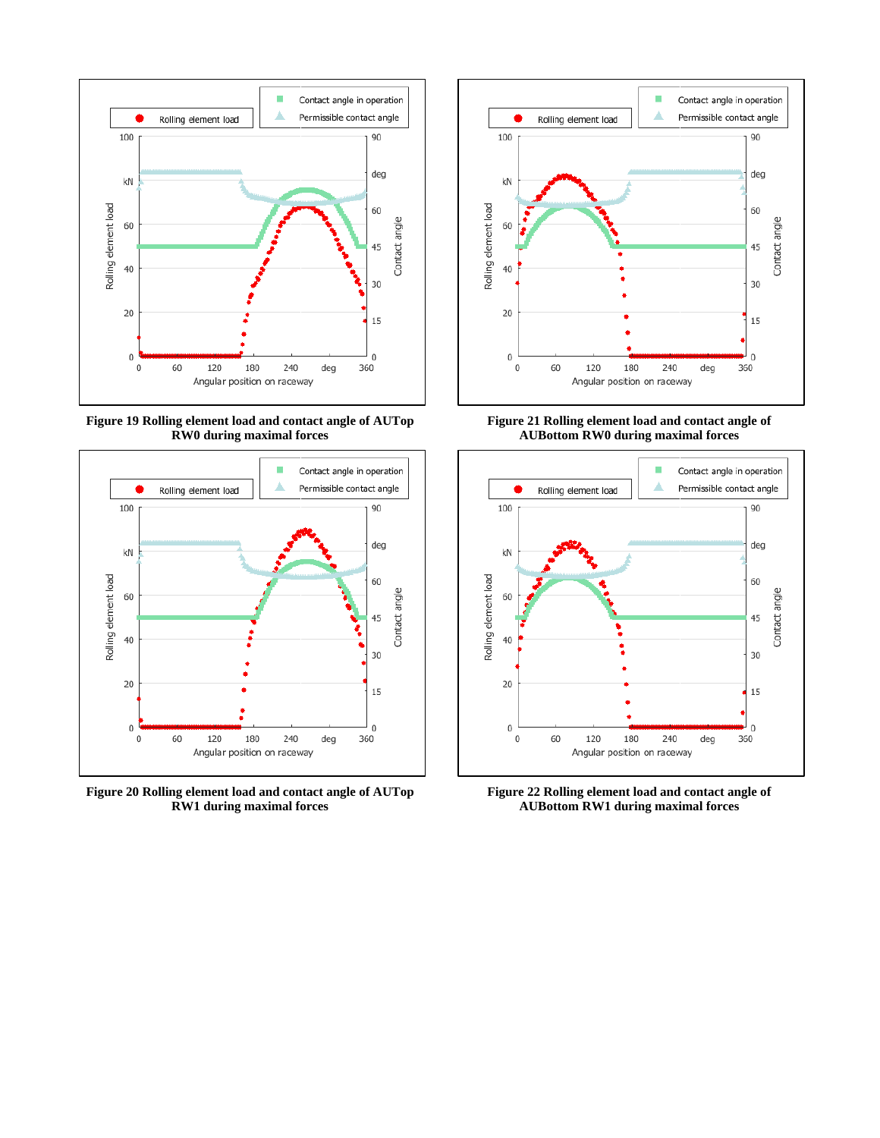

**Figure 19 Rolling element load and contact angle of AUTop RW0 during maximal forces**



**Figure 20 Rolling element load and contact angle of AUTop RW1 during maximal forces**



**Figure 21 Rolling element load and contact angle of AUBottom RW0 during maximal forces**



**Figure 22 Rolling element load and contact angle of AUBottom RW1 during maximal forces**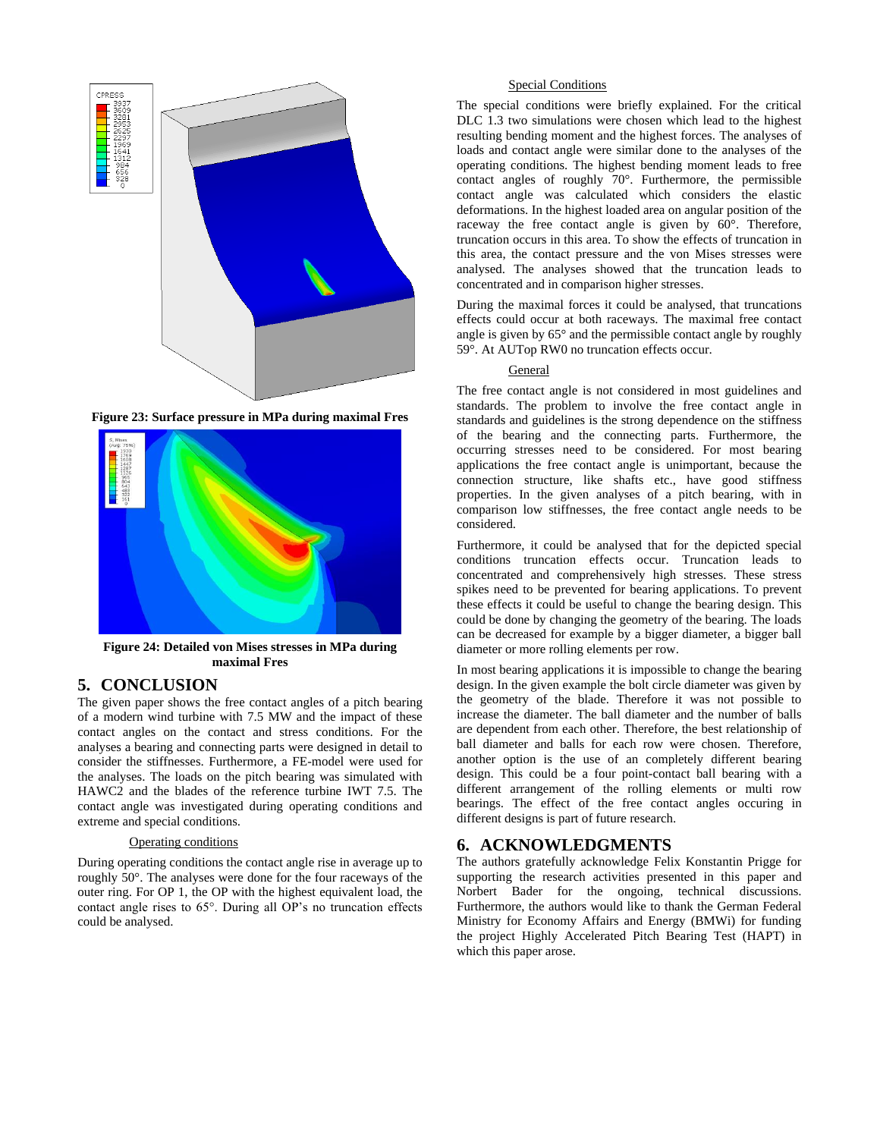

**Figure 23: Surface pressure in MPa during maximal Fres**



**Figure 24: Detailed von Mises stresses in MPa during maximal Fres**

# **5. CONCLUSION**

The given paper shows the free contact angles of a pitch bearing of a modern wind turbine with 7.5 MW and the impact of these contact angles on the contact and stress conditions. For the analyses a bearing and connecting parts were designed in detail to consider the stiffnesses. Furthermore, a FE-model were used for the analyses. The loads on the pitch bearing was simulated with HAWC2 and the blades of the reference turbine IWT 7.5. The contact angle was investigated during operating conditions and extreme and special conditions.

#### Operating conditions

During operating conditions the contact angle rise in average up to roughly 50°. The analyses were done for the four raceways of the outer ring. For OP 1, the OP with the highest equivalent load, the contact angle rises to 65°. During all OP's no truncation effects could be analysed.

#### Special Conditions

The special conditions were briefly explained. For the critical DLC 1.3 two simulations were chosen which lead to the highest resulting bending moment and the highest forces. The analyses of loads and contact angle were similar done to the analyses of the operating conditions. The highest bending moment leads to free contact angles of roughly 70°. Furthermore, the permissible contact angle was calculated which considers the elastic deformations. In the highest loaded area on angular position of the raceway the free contact angle is given by 60°. Therefore, truncation occurs in this area. To show the effects of truncation in this area, the contact pressure and the von Mises stresses were analysed. The analyses showed that the truncation leads to concentrated and in comparison higher stresses.

During the maximal forces it could be analysed, that truncations effects could occur at both raceways. The maximal free contact angle is given by 65° and the permissible contact angle by roughly 59°. At AUTop RW0 no truncation effects occur.

#### General

The free contact angle is not considered in most guidelines and standards. The problem to involve the free contact angle in standards and guidelines is the strong dependence on the stiffness of the bearing and the connecting parts. Furthermore, the occurring stresses need to be considered. For most bearing applications the free contact angle is unimportant, because the connection structure, like shafts etc., have good stiffness properties. In the given analyses of a pitch bearing, with in comparison low stiffnesses, the free contact angle needs to be considered.

Furthermore, it could be analysed that for the depicted special conditions truncation effects occur. Truncation leads to concentrated and comprehensively high stresses. These stress spikes need to be prevented for bearing applications. To prevent these effects it could be useful to change the bearing design. This could be done by changing the geometry of the bearing. The loads can be decreased for example by a bigger diameter, a bigger ball diameter or more rolling elements per row.

In most bearing applications it is impossible to change the bearing design. In the given example the bolt circle diameter was given by the geometry of the blade. Therefore it was not possible to increase the diameter. The ball diameter and the number of balls are dependent from each other. Therefore, the best relationship of ball diameter and balls for each row were chosen. Therefore, another option is the use of an completely different bearing design. This could be a four point-contact ball bearing with a different arrangement of the rolling elements or multi row bearings. The effect of the free contact angles occuring in different designs is part of future research.

# **6. ACKNOWLEDGMENTS**

The authors gratefully acknowledge Felix Konstantin Prigge for supporting the research activities presented in this paper and Norbert Bader for the ongoing, technical discussions. Furthermore, the authors would like to thank the German Federal Ministry for Economy Affairs and Energy (BMWi) for funding the project Highly Accelerated Pitch Bearing Test (HAPT) in which this paper arose.